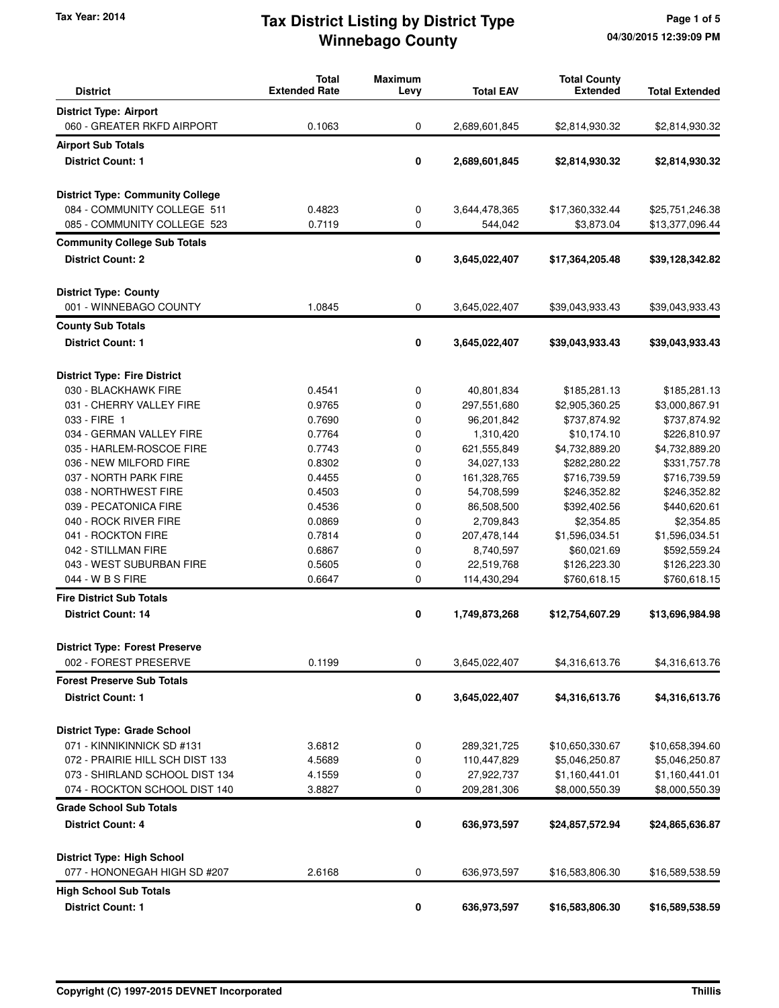# **Winnebago County** Tax Year: 2014 **Tax District Listing by District Type** Page 1 of 5

| <b>District</b>                                                   | <b>Total</b><br><b>Extended Rate</b> | <b>Maximum</b><br>Levy | <b>Total EAV</b>          | <b>Total County</b><br><b>Extended</b> | <b>Total Extended</b>            |
|-------------------------------------------------------------------|--------------------------------------|------------------------|---------------------------|----------------------------------------|----------------------------------|
| <b>District Type: Airport</b>                                     |                                      |                        |                           |                                        |                                  |
| 060 - GREATER RKFD AIRPORT                                        | 0.1063                               | 0                      | 2,689,601,845             | \$2,814,930.32                         | \$2,814,930.32                   |
| <b>Airport Sub Totals</b>                                         |                                      |                        |                           |                                        |                                  |
| <b>District Count: 1</b>                                          |                                      | 0                      | 2,689,601,845             | \$2,814,930.32                         | \$2,814,930.32                   |
|                                                                   |                                      |                        |                           |                                        |                                  |
| <b>District Type: Community College</b>                           |                                      |                        |                           |                                        |                                  |
| 084 - COMMUNITY COLLEGE 511                                       | 0.4823                               | 0                      | 3,644,478,365             | \$17,360,332.44                        | \$25,751,246.38                  |
| 085 - COMMUNITY COLLEGE 523                                       | 0.7119                               | 0                      | 544,042                   | \$3,873.04                             | \$13,377,096.44                  |
| <b>Community College Sub Totals</b>                               |                                      |                        |                           |                                        |                                  |
| <b>District Count: 2</b>                                          |                                      | 0                      | 3,645,022,407             | \$17,364,205.48                        | \$39,128,342.82                  |
|                                                                   |                                      |                        |                           |                                        |                                  |
| <b>District Type: County</b>                                      |                                      |                        |                           |                                        |                                  |
| 001 - WINNEBAGO COUNTY                                            | 1.0845                               | 0                      | 3,645,022,407             | \$39,043,933.43                        | \$39,043,933.43                  |
| <b>County Sub Totals</b>                                          |                                      |                        |                           |                                        |                                  |
| <b>District Count: 1</b>                                          |                                      | 0                      | 3,645,022,407             | \$39,043,933.43                        | \$39,043,933.43                  |
|                                                                   |                                      |                        |                           |                                        |                                  |
| <b>District Type: Fire District</b>                               |                                      |                        |                           |                                        |                                  |
| 030 - BLACKHAWK FIRE                                              | 0.4541                               | 0                      | 40,801,834                | \$185,281.13                           | \$185,281.13                     |
| 031 - CHERRY VALLEY FIRE                                          | 0.9765                               | 0                      | 297,551,680               | \$2,905,360.25                         | \$3,000,867.91                   |
| 033 - FIRE 1                                                      | 0.7690                               | 0                      | 96,201,842                | \$737,874.92                           | \$737,874.92                     |
| 034 - GERMAN VALLEY FIRE                                          | 0.7764                               | 0                      | 1,310,420                 | \$10,174.10                            | \$226,810.97                     |
| 035 - HARLEM-ROSCOE FIRE                                          | 0.7743                               | 0                      | 621,555,849               | \$4,732,889.20                         | \$4,732,889.20                   |
| 036 - NEW MILFORD FIRE                                            | 0.8302                               | 0                      | 34,027,133                | \$282,280.22                           | \$331,757.78                     |
| 037 - NORTH PARK FIRE                                             | 0.4455                               | 0                      | 161,328,765               | \$716,739.59                           | \$716,739.59                     |
| 038 - NORTHWEST FIRE                                              | 0.4503                               | 0                      | 54,708,599                | \$246,352.82                           | \$246,352.82                     |
| 039 - PECATONICA FIRE                                             | 0.4536                               | 0                      | 86,508,500                | \$392,402.56                           | \$440,620.61                     |
| 040 - ROCK RIVER FIRE                                             | 0.0869                               | 0                      | 2,709,843                 | \$2,354.85                             | \$2,354.85                       |
| 041 - ROCKTON FIRE                                                | 0.7814                               | 0                      | 207,478,144               | \$1,596,034.51                         | \$1,596,034.51                   |
| 042 - STILLMAN FIRE                                               | 0.6867                               | 0                      | 8,740,597                 | \$60,021.69                            | \$592,559.24                     |
| 043 - WEST SUBURBAN FIRE                                          | 0.5605                               | 0                      | 22,519,768                | \$126,223.30                           | \$126,223.30                     |
| 044 - W B S FIRE                                                  | 0.6647                               | 0                      | 114,430,294               | \$760,618.15                           | \$760,618.15                     |
| <b>Fire District Sub Totals</b>                                   |                                      |                        |                           |                                        |                                  |
| <b>District Count: 14</b>                                         |                                      | 0                      | 1,749,873,268             | \$12,754,607.29                        | \$13,696,984.98                  |
| <b>District Type: Forest Preserve</b>                             |                                      |                        |                           |                                        |                                  |
| 002 - FOREST PRESERVE                                             | 0.1199                               | 0                      | 3,645,022,407             | \$4,316,613.76                         | \$4,316,613.76                   |
| <b>Forest Preserve Sub Totals</b>                                 |                                      |                        |                           |                                        |                                  |
| <b>District Count: 1</b>                                          |                                      | $\pmb{0}$              | 3,645,022,407             | \$4,316,613.76                         | \$4,316,613.76                   |
|                                                                   |                                      |                        |                           |                                        |                                  |
| <b>District Type: Grade School</b>                                |                                      |                        |                           |                                        |                                  |
| 071 - KINNIKINNICK SD #131                                        | 3.6812                               | 0                      | 289,321,725               | \$10,650,330.67                        | \$10,658,394.60                  |
| 072 - PRAIRIE HILL SCH DIST 133<br>073 - SHIRLAND SCHOOL DIST 134 | 4.5689<br>4.1559                     | 0<br>0                 | 110,447,829<br>27,922,737 | \$5,046,250.87                         | \$5,046,250.87                   |
| 074 - ROCKTON SCHOOL DIST 140                                     | 3.8827                               | 0                      | 209,281,306               | \$1,160,441.01<br>\$8,000,550.39       | \$1,160,441.01<br>\$8,000,550.39 |
|                                                                   |                                      |                        |                           |                                        |                                  |
| <b>Grade School Sub Totals</b>                                    |                                      |                        |                           |                                        |                                  |
| <b>District Count: 4</b>                                          |                                      | 0                      | 636,973,597               | \$24,857,572.94                        | \$24,865,636.87                  |
| <b>District Type: High School</b>                                 |                                      |                        |                           |                                        |                                  |
| 077 - HONONEGAH HIGH SD #207                                      | 2.6168                               | 0                      | 636,973,597               | \$16,583,806.30                        | \$16,589,538.59                  |
| <b>High School Sub Totals</b>                                     |                                      |                        |                           |                                        |                                  |
| <b>District Count: 1</b>                                          |                                      | 0                      | 636,973,597               | \$16,583,806.30                        | \$16,589,538.59                  |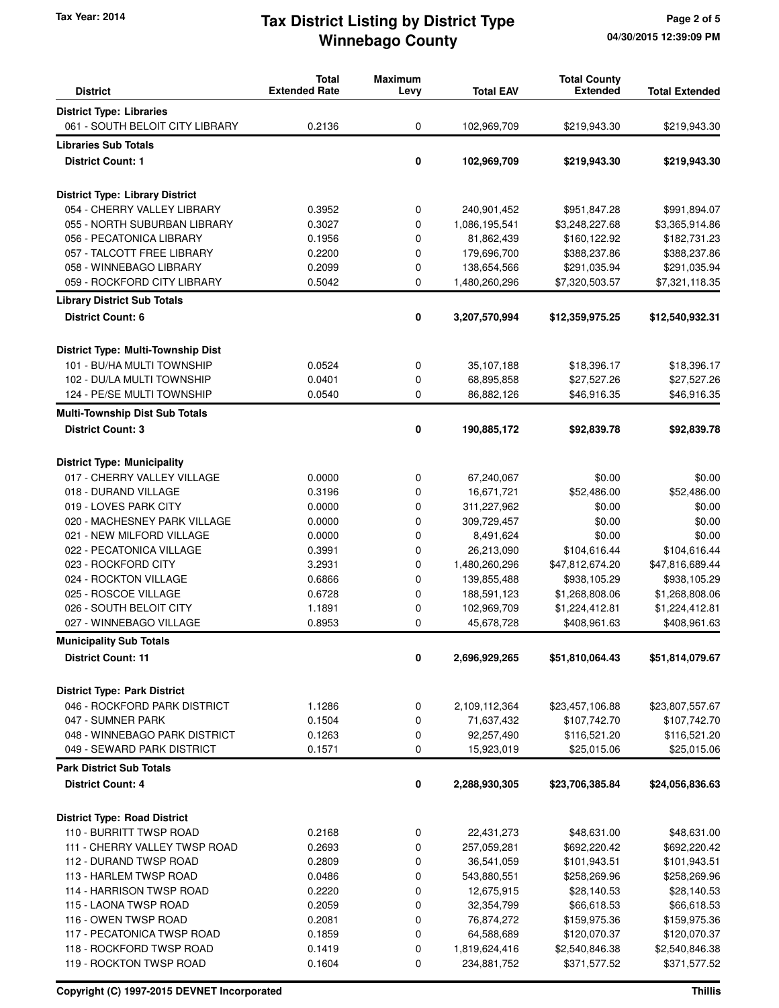# **Winnebago County** Tax Year: 2014 **Tax District Listing by District Type** Page 2 of 5

| <b>District</b>                        | <b>Total</b><br><b>Extended Rate</b> | <b>Maximum</b><br>Levy | <b>Total EAV</b> | <b>Total County</b><br><b>Extended</b> | <b>Total Extended</b> |
|----------------------------------------|--------------------------------------|------------------------|------------------|----------------------------------------|-----------------------|
| <b>District Type: Libraries</b>        |                                      |                        |                  |                                        |                       |
| 061 - SOUTH BELOIT CITY LIBRARY        | 0.2136                               | 0                      | 102,969,709      | \$219,943.30                           | \$219,943.30          |
| <b>Libraries Sub Totals</b>            |                                      |                        |                  |                                        |                       |
| <b>District Count: 1</b>               |                                      | 0                      | 102,969,709      | \$219,943.30                           | \$219,943.30          |
|                                        |                                      |                        |                  |                                        |                       |
| <b>District Type: Library District</b> |                                      |                        |                  |                                        |                       |
| 054 - CHERRY VALLEY LIBRARY            | 0.3952                               | 0                      | 240,901,452      | \$951,847.28                           | \$991,894.07          |
| 055 - NORTH SUBURBAN LIBRARY           | 0.3027                               | 0                      | 1,086,195,541    | \$3,248,227.68                         | \$3,365,914.86        |
| 056 - PECATONICA LIBRARY               | 0.1956                               | 0                      | 81,862,439       | \$160,122.92                           | \$182,731.23          |
| 057 - TALCOTT FREE LIBRARY             | 0.2200                               | 0                      | 179,696,700      | \$388,237.86                           | \$388,237.86          |
| 058 - WINNEBAGO LIBRARY                | 0.2099                               | 0                      | 138,654,566      | \$291,035.94                           | \$291,035.94          |
| 059 - ROCKFORD CITY LIBRARY            | 0.5042                               | 0                      | 1,480,260,296    | \$7,320,503.57                         | \$7,321,118.35        |
| <b>Library District Sub Totals</b>     |                                      |                        |                  |                                        |                       |
| <b>District Count: 6</b>               |                                      | 0                      | 3,207,570,994    | \$12,359,975.25                        | \$12,540,932.31       |
| District Type: Multi-Township Dist     |                                      |                        |                  |                                        |                       |
| 101 - BU/HA MULTI TOWNSHIP             | 0.0524                               | 0                      | 35,107,188       | \$18,396.17                            | \$18,396.17           |
| 102 - DU/LA MULTI TOWNSHIP             | 0.0401                               | 0                      | 68,895,858       | \$27,527.26                            | \$27,527.26           |
| 124 - PE/SE MULTI TOWNSHIP             | 0.0540                               | 0                      | 86,882,126       | \$46,916.35                            | \$46,916.35           |
| <b>Multi-Township Dist Sub Totals</b>  |                                      |                        |                  |                                        |                       |
| <b>District Count: 3</b>               |                                      | 0                      | 190,885,172      | \$92,839.78                            | \$92,839.78           |
|                                        |                                      |                        |                  |                                        |                       |
| <b>District Type: Municipality</b>     |                                      |                        |                  |                                        |                       |
| 017 - CHERRY VALLEY VILLAGE            | 0.0000                               | 0                      | 67,240,067       | \$0.00                                 | \$0.00                |
| 018 - DURAND VILLAGE                   | 0.3196                               | 0                      | 16,671,721       | \$52,486.00                            | \$52,486.00           |
| 019 - LOVES PARK CITY                  | 0.0000                               | 0                      | 311,227,962      | \$0.00                                 | \$0.00                |
| 020 - MACHESNEY PARK VILLAGE           | 0.0000                               | 0                      | 309,729,457      | \$0.00                                 | \$0.00                |
| 021 - NEW MILFORD VILLAGE              | 0.0000                               | 0                      | 8,491,624        | \$0.00                                 | \$0.00                |
| 022 - PECATONICA VILLAGE               | 0.3991                               | 0                      | 26,213,090       | \$104,616.44                           | \$104,616.44          |
| 023 - ROCKFORD CITY                    | 3.2931                               | 0                      | 1,480,260,296    | \$47,812,674.20                        | \$47,816,689.44       |
| 024 - ROCKTON VILLAGE                  | 0.6866                               | 0                      | 139,855,488      | \$938,105.29                           | \$938,105.29          |
| 025 - ROSCOE VILLAGE                   | 0.6728                               | 0                      | 188,591,123      | \$1,268,808.06                         | \$1,268,808.06        |
| 026 - SOUTH BELOIT CITY                | 1.1891                               | 0                      | 102,969,709      | \$1,224,412.81                         | \$1,224,412.81        |
| 027 - WINNEBAGO VILLAGE                | 0.8953                               | 0                      | 45,678,728       | \$408,961.63                           | \$408,961.63          |
| <b>Municipality Sub Totals</b>         |                                      |                        |                  |                                        |                       |
| <b>District Count: 11</b>              |                                      | 0                      | 2,696,929,265    | \$51,810,064.43                        | \$51,814,079.67       |
| <b>District Type: Park District</b>    |                                      |                        |                  |                                        |                       |
| 046 - ROCKFORD PARK DISTRICT           | 1.1286                               | 0                      | 2,109,112,364    | \$23,457,106.88                        | \$23,807,557.67       |
| 047 - SUMNER PARK                      | 0.1504                               | 0                      | 71,637,432       | \$107,742.70                           | \$107,742.70          |
| 048 - WINNEBAGO PARK DISTRICT          | 0.1263                               | 0                      | 92,257,490       | \$116,521.20                           | \$116,521.20          |
| 049 - SEWARD PARK DISTRICT             | 0.1571                               | 0                      | 15,923,019       | \$25,015.06                            | \$25,015.06           |
| <b>Park District Sub Totals</b>        |                                      |                        |                  |                                        |                       |
| <b>District Count: 4</b>               |                                      | 0                      | 2,288,930,305    | \$23,706,385.84                        | \$24,056,836.63       |
| <b>District Type: Road District</b>    |                                      |                        |                  |                                        |                       |
| 110 - BURRITT TWSP ROAD                | 0.2168                               | 0                      | 22,431,273       | \$48,631.00                            | \$48,631.00           |
| 111 - CHERRY VALLEY TWSP ROAD          | 0.2693                               | 0                      | 257,059,281      | \$692,220.42                           | \$692,220.42          |
| 112 - DURAND TWSP ROAD                 | 0.2809                               | 0                      | 36,541,059       | \$101,943.51                           | \$101,943.51          |
| 113 - HARLEM TWSP ROAD                 | 0.0486                               | 0                      | 543,880,551      | \$258,269.96                           | \$258,269.96          |
| 114 - HARRISON TWSP ROAD               | 0.2220                               | 0                      | 12,675,915       | \$28,140.53                            | \$28,140.53           |
| 115 - LAONA TWSP ROAD                  | 0.2059                               | 0                      | 32,354,799       | \$66,618.53                            | \$66,618.53           |
| 116 - OWEN TWSP ROAD                   | 0.2081                               | 0                      | 76,874,272       | \$159,975.36                           | \$159,975.36          |
| 117 - PECATONICA TWSP ROAD             | 0.1859                               | 0                      | 64,588,689       | \$120,070.37                           | \$120,070.37          |
| 118 - ROCKFORD TWSP ROAD               | 0.1419                               | 0                      | 1,819,624,416    | \$2,540,846.38                         | \$2,540,846.38        |
| 119 - ROCKTON TWSP ROAD                | 0.1604                               | 0                      | 234,881,752      | \$371,577.52                           | \$371,577.52          |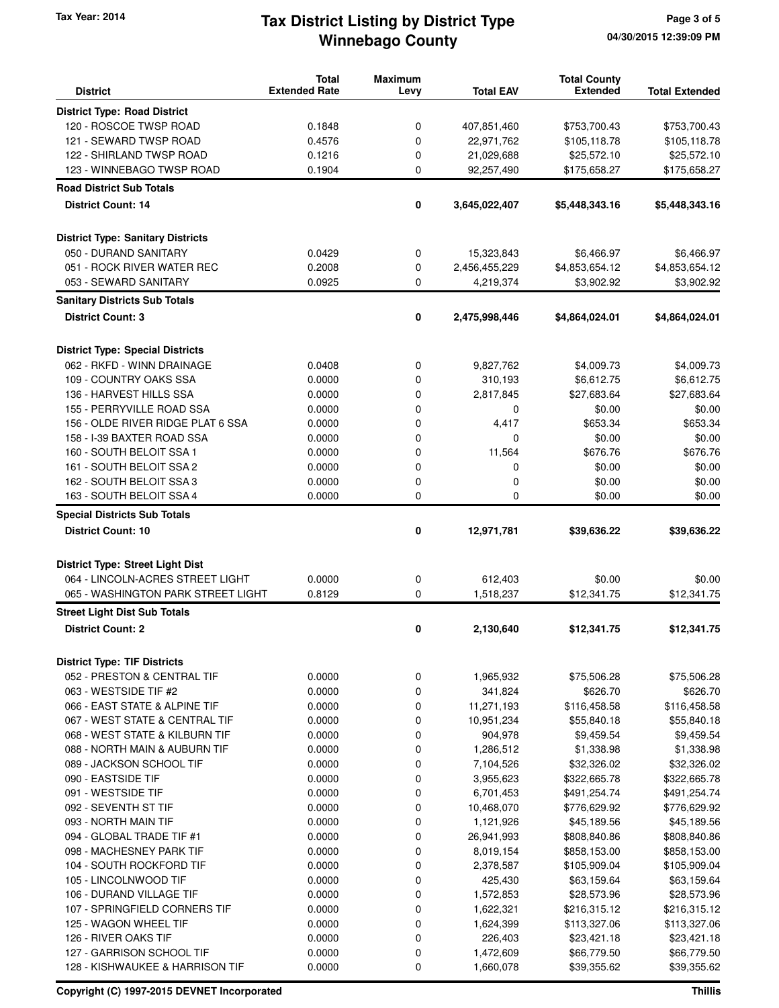# **Winnebago County** Tax Year: 2014 **Tax District Listing by District Type** Page 3 of 5

| <b>District</b>                                  | <b>Total</b><br><b>Extended Rate</b> | <b>Maximum</b><br>Levy | <b>Total EAV</b>         | <b>Total County</b><br><b>Extended</b> | <b>Total Extended</b>       |
|--------------------------------------------------|--------------------------------------|------------------------|--------------------------|----------------------------------------|-----------------------------|
|                                                  |                                      |                        |                          |                                        |                             |
| <b>District Type: Road District</b>              |                                      |                        |                          |                                        |                             |
| 120 - ROSCOE TWSP ROAD<br>121 - SEWARD TWSP ROAD | 0.1848                               | 0                      | 407,851,460              | \$753,700.43                           | \$753,700.43                |
| 122 - SHIRLAND TWSP ROAD                         | 0.4576<br>0.1216                     | 0<br>0                 | 22,971,762<br>21,029,688 | \$105,118.78                           | \$105,118.78                |
| 123 - WINNEBAGO TWSP ROAD                        | 0.1904                               | 0                      | 92,257,490               | \$25,572.10<br>\$175,658.27            | \$25,572.10<br>\$175,658.27 |
|                                                  |                                      |                        |                          |                                        |                             |
| <b>Road District Sub Totals</b>                  |                                      |                        |                          |                                        |                             |
| <b>District Count: 14</b>                        |                                      | 0                      | 3,645,022,407            | \$5,448,343.16                         | \$5,448,343.16              |
| <b>District Type: Sanitary Districts</b>         |                                      |                        |                          |                                        |                             |
| 050 - DURAND SANITARY                            | 0.0429                               | 0                      | 15,323,843               | \$6,466.97                             | \$6,466.97                  |
| 051 - ROCK RIVER WATER REC                       | 0.2008                               | 0                      | 2,456,455,229            | \$4,853,654.12                         | \$4,853,654.12              |
| 053 - SEWARD SANITARY                            | 0.0925                               | 0                      | 4,219,374                | \$3,902.92                             | \$3,902.92                  |
| <b>Sanitary Districts Sub Totals</b>             |                                      |                        |                          |                                        |                             |
| <b>District Count: 3</b>                         |                                      | 0                      | 2,475,998,446            | \$4,864,024.01                         | \$4,864,024.01              |
|                                                  |                                      |                        |                          |                                        |                             |
| <b>District Type: Special Districts</b>          |                                      |                        |                          |                                        |                             |
| 062 - RKFD - WINN DRAINAGE                       | 0.0408                               | 0                      | 9,827,762                | \$4,009.73                             | \$4,009.73                  |
| 109 - COUNTRY OAKS SSA                           | 0.0000                               | 0                      | 310,193                  | \$6,612.75                             | \$6,612.75                  |
| 136 - HARVEST HILLS SSA                          | 0.0000                               | 0                      | 2,817,845                | \$27,683.64                            | \$27,683.64                 |
| 155 - PERRYVILLE ROAD SSA                        | 0.0000                               | 0                      | 0                        | \$0.00                                 | \$0.00                      |
| 156 - OLDE RIVER RIDGE PLAT 6 SSA                | 0.0000                               | 0                      | 4,417                    | \$653.34                               | \$653.34                    |
| 158 - I-39 BAXTER ROAD SSA                       | 0.0000                               | 0                      | 0                        | \$0.00                                 | \$0.00                      |
| 160 - SOUTH BELOIT SSA 1                         | 0.0000                               | 0                      | 11,564                   | \$676.76                               | \$676.76                    |
| 161 - SOUTH BELOIT SSA 2                         | 0.0000                               | 0                      | 0                        | \$0.00                                 | \$0.00                      |
| 162 - SOUTH BELOIT SSA 3                         | 0.0000                               | 0                      | 0                        | \$0.00                                 | \$0.00                      |
| 163 - SOUTH BELOIT SSA 4                         | 0.0000                               | 0                      | 0                        | \$0.00                                 | \$0.00                      |
| <b>Special Districts Sub Totals</b>              |                                      |                        |                          |                                        |                             |
| <b>District Count: 10</b>                        |                                      | 0                      | 12,971,781               | \$39,636.22                            | \$39,636.22                 |
| <b>District Type: Street Light Dist</b>          |                                      |                        |                          |                                        |                             |
| 064 - LINCOLN-ACRES STREET LIGHT                 | 0.0000                               | 0                      | 612,403                  | \$0.00                                 | \$0.00                      |
| 065 - WASHINGTON PARK STREET LIGHT               | 0.8129                               | 0                      | 1,518,237                | \$12,341.75                            | \$12,341.75                 |
|                                                  |                                      |                        |                          |                                        |                             |
| <b>Street Light Dist Sub Totals</b>              |                                      |                        |                          |                                        |                             |
| <b>District Count: 2</b>                         |                                      | 0                      | 2,130,640                | \$12,341.75                            | \$12,341.75                 |
| <b>District Type: TIF Districts</b>              |                                      |                        |                          |                                        |                             |
| 052 - PRESTON & CENTRAL TIF                      | 0.0000                               | 0                      | 1,965,932                | \$75,506.28                            | \$75,506.28                 |
| 063 - WESTSIDE TIF #2                            | 0.0000                               | 0                      | 341,824                  | \$626.70                               | \$626.70                    |
| 066 - EAST STATE & ALPINE TIF                    | 0.0000                               | 0                      | 11,271,193               | \$116,458.58                           | \$116,458.58                |
| 067 - WEST STATE & CENTRAL TIF                   | 0.0000                               | 0                      | 10,951,234               | \$55,840.18                            | \$55,840.18                 |
| 068 - WEST STATE & KILBURN TIF                   | 0.0000                               | 0                      | 904,978                  | \$9,459.54                             | \$9,459.54                  |
| 088 - NORTH MAIN & AUBURN TIF                    | 0.0000                               | 0                      | 1,286,512                | \$1,338.98                             | \$1,338.98                  |
| 089 - JACKSON SCHOOL TIF                         | 0.0000                               | 0                      | 7,104,526                | \$32,326.02                            | \$32,326.02                 |
| 090 - EASTSIDE TIF                               | 0.0000                               | 0                      | 3,955,623                | \$322,665.78                           | \$322,665.78                |
| 091 - WESTSIDE TIF                               | 0.0000                               | 0                      | 6,701,453                | \$491,254.74                           | \$491,254.74                |
| 092 - SEVENTH ST TIF                             | 0.0000                               | 0                      | 10,468,070               | \$776,629.92                           | \$776,629.92                |
| 093 - NORTH MAIN TIF                             | 0.0000                               | 0                      | 1,121,926                | \$45,189.56                            | \$45,189.56                 |
| 094 - GLOBAL TRADE TIF #1                        | 0.0000                               | 0                      | 26,941,993               | \$808,840.86                           | \$808,840.86                |
| 098 - MACHESNEY PARK TIF                         | 0.0000                               | 0                      | 8,019,154                | \$858,153.00                           | \$858,153.00                |
| 104 - SOUTH ROCKFORD TIF                         | 0.0000                               | 0                      | 2,378,587                | \$105,909.04                           | \$105,909.04                |
| 105 - LINCOLNWOOD TIF                            | 0.0000                               | 0                      | 425,430                  | \$63,159.64                            | \$63,159.64                 |
| 106 - DURAND VILLAGE TIF                         | 0.0000                               | 0                      | 1,572,853                | \$28,573.96                            | \$28,573.96                 |
| 107 - SPRINGFIELD CORNERS TIF                    | 0.0000                               | 0                      | 1,622,321                | \$216,315.12                           | \$216,315.12                |
| 125 - WAGON WHEEL TIF                            | 0.0000                               | 0                      | 1,624,399                | \$113,327.06                           | \$113,327.06                |
| 126 - RIVER OAKS TIF                             | 0.0000                               | 0                      | 226,403                  | \$23,421.18                            | \$23,421.18                 |
| 127 - GARRISON SCHOOL TIF                        | 0.0000                               | 0                      | 1,472,609                | \$66,779.50                            | \$66,779.50                 |
| 128 - KISHWAUKEE & HARRISON TIF                  | 0.0000                               | 0                      | 1,660,078                | \$39,355.62                            | \$39,355.62                 |

**Copyright (C) 1997-2015 DEVNET Incorporated Thillis**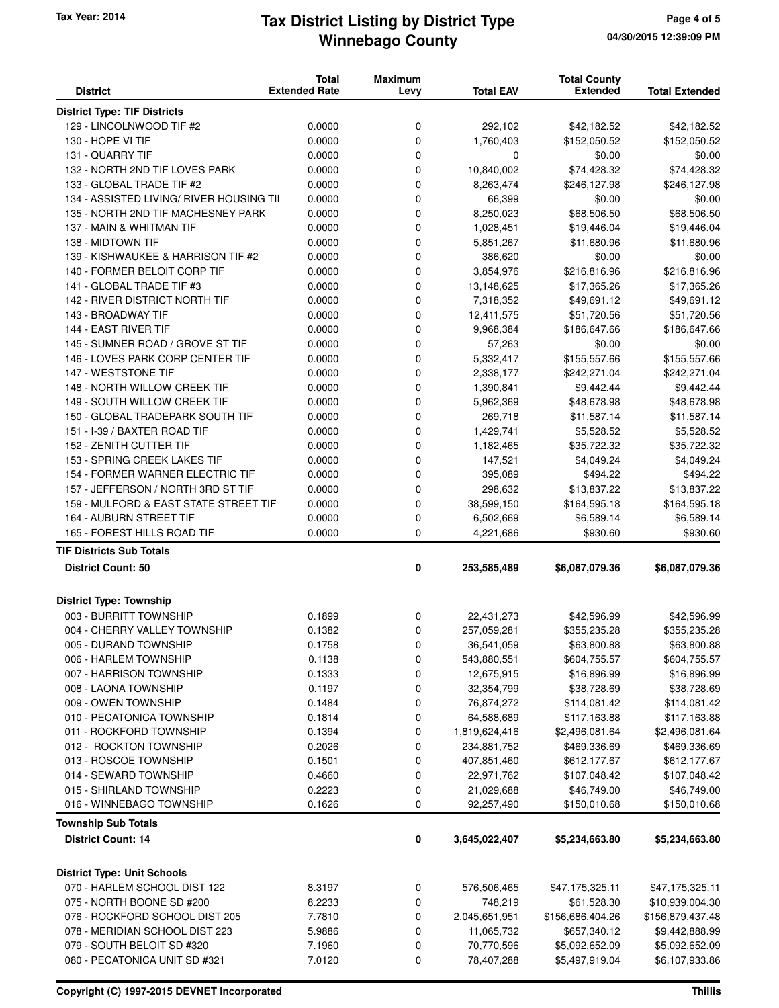#### **Winnebago County Tax Year: 2014 Tax District Listing by District Type Page 4 of 5**

| <b>District</b>                          | <b>Total</b><br><b>Extended Rate</b> | <b>Maximum</b><br>Levy | <b>Total EAV</b> | <b>Total County</b><br><b>Extended</b> | <b>Total Extended</b> |
|------------------------------------------|--------------------------------------|------------------------|------------------|----------------------------------------|-----------------------|
| <b>District Type: TIF Districts</b>      |                                      |                        |                  |                                        |                       |
| 129 - LINCOLNWOOD TIF #2                 | 0.0000                               | 0                      | 292,102          | \$42,182.52                            | \$42,182.52           |
| 130 - HOPE VI TIF                        | 0.0000                               | 0                      | 1,760,403        | \$152,050.52                           | \$152,050.52          |
| 131 - QUARRY TIF                         | 0.0000                               | 0                      | 0                | \$0.00                                 | \$0.00                |
| 132 - NORTH 2ND TIF LOVES PARK           | 0.0000                               | 0                      | 10,840,002       | \$74,428.32                            | \$74,428.32           |
| 133 - GLOBAL TRADE TIF #2                | 0.0000                               | 0                      | 8,263,474        | \$246,127.98                           | \$246,127.98          |
| 134 - ASSISTED LIVING/ RIVER HOUSING TII | 0.0000                               | 0                      | 66,399           | \$0.00                                 | \$0.00                |
| 135 - NORTH 2ND TIF MACHESNEY PARK       | 0.0000                               | 0                      | 8,250,023        | \$68,506.50                            | \$68,506.50           |
| 137 - MAIN & WHITMAN TIF                 | 0.0000                               | 0                      | 1,028,451        | \$19,446.04                            | \$19,446.04           |
| 138 - MIDTOWN TIF                        | 0.0000                               | 0                      | 5,851,267        | \$11,680.96                            | \$11,680.96           |
| 139 - KISHWAUKEE & HARRISON TIF #2       | 0.0000                               | 0                      | 386,620          | \$0.00                                 | \$0.00                |
| 140 - FORMER BELOIT CORP TIF             | 0.0000                               | 0                      | 3,854,976        | \$216,816.96                           | \$216,816.96          |
| 141 - GLOBAL TRADE TIF #3                | 0.0000                               | 0                      | 13,148,625       | \$17,365.26                            | \$17,365.26           |
| 142 - RIVER DISTRICT NORTH TIF           | 0.0000                               | 0                      | 7,318,352        | \$49,691.12                            | \$49,691.12           |
| 143 - BROADWAY TIF                       | 0.0000                               | 0                      | 12,411,575       | \$51,720.56                            | \$51,720.56           |
| 144 - EAST RIVER TIF                     | 0.0000                               | 0                      | 9,968,384        | \$186,647.66                           | \$186,647.66          |
| 145 - SUMNER ROAD / GROVE ST TIF         | 0.0000                               | 0                      | 57,263           | \$0.00                                 | \$0.00                |
| 146 - LOVES PARK CORP CENTER TIF         | 0.0000                               | 0                      | 5,332,417        | \$155,557.66                           | \$155,557.66          |
| 147 - WESTSTONE TIF                      | 0.0000                               | 0                      | 2,338,177        | \$242,271.04                           | \$242,271.04          |
| 148 - NORTH WILLOW CREEK TIF             | 0.0000                               | 0                      | 1,390,841        | \$9,442.44                             | \$9,442.44            |
| 149 - SOUTH WILLOW CREEK TIF             | 0.0000                               | 0                      | 5,962,369        | \$48,678.98                            | \$48,678.98           |
| 150 - GLOBAL TRADEPARK SOUTH TIF         | 0.0000                               | 0                      | 269,718          | \$11,587.14                            | \$11,587.14           |
| 151 - I-39 / BAXTER ROAD TIF             | 0.0000                               | 0                      | 1,429,741        | \$5,528.52                             | \$5,528.52            |
| 152 - ZENITH CUTTER TIF                  | 0.0000                               | 0                      | 1,182,465        | \$35,722.32                            | \$35,722.32           |
| 153 - SPRING CREEK LAKES TIF             | 0.0000                               | 0                      | 147,521          | \$4,049.24                             | \$4,049.24            |
| 154 - FORMER WARNER ELECTRIC TIF         | 0.0000                               | 0                      | 395,089          | \$494.22                               | \$494.22              |
| 157 - JEFFERSON / NORTH 3RD ST TIF       | 0.0000                               | 0                      | 298,632          | \$13,837.22                            | \$13,837.22           |
| 159 - MULFORD & EAST STATE STREET TIF    | 0.0000                               | 0                      | 38,599,150       | \$164,595.18                           | \$164,595.18          |
| 164 - AUBURN STREET TIF                  | 0.0000                               | 0                      | 6,502,669        | \$6,589.14                             | \$6,589.14            |
| 165 - FOREST HILLS ROAD TIF              | 0.0000                               | 0                      | 4,221,686        | \$930.60                               | \$930.60              |
| <b>TIF Districts Sub Totals</b>          |                                      |                        |                  |                                        |                       |
| <b>District Count: 50</b>                |                                      | 0                      | 253,585,489      | \$6,087,079.36                         | \$6,087,079.36        |
| <b>District Type: Township</b>           |                                      |                        |                  |                                        |                       |
| 003 - BURRITT TOWNSHIP                   | 0.1899                               | 0                      | 22,431,273       | \$42,596.99                            | \$42,596.99           |
| 004 - CHERRY VALLEY TOWNSHIP             | 0.1382                               | 0                      | 257,059,281      | \$355,235.28                           | \$355,235.28          |
| 005 - DURAND TOWNSHIP                    | 0.1758                               | 0                      | 36,541,059       | \$63,800.88                            | \$63,800.88           |
| 006 - HARLEM TOWNSHIP                    | 0.1138                               | 0                      | 543,880,551      | \$604,755.57                           | \$604,755.57          |
| 007 - HARRISON TOWNSHIP                  | 0.1333                               | 0                      | 12,675,915       | \$16,896.99                            | \$16,896.99           |
| 008 - LAONA TOWNSHIP                     | 0.1197                               | 0                      | 32,354,799       | \$38,728.69                            | \$38,728.69           |
| 009 - OWEN TOWNSHIP                      | 0.1484                               | 0                      | 76,874,272       | \$114,081.42                           | \$114,081.42          |
| 010 - PECATONICA TOWNSHIP                | 0.1814                               | 0                      | 64,588,689       | \$117,163.88                           | \$117,163.88          |
| 011 - ROCKFORD TOWNSHIP                  | 0.1394                               | 0                      | 1,819,624,416    | \$2,496,081.64                         | \$2,496,081.64        |
| 012 - ROCKTON TOWNSHIP                   | 0.2026                               | 0                      | 234,881,752      | \$469,336.69                           | \$469,336.69          |
| 013 - ROSCOE TOWNSHIP                    | 0.1501                               | 0                      | 407,851,460      | \$612,177.67                           | \$612,177.67          |
| 014 - SEWARD TOWNSHIP                    | 0.4660                               | 0                      | 22,971,762       | \$107,048.42                           | \$107,048.42          |
| 015 - SHIRLAND TOWNSHIP                  | 0.2223                               | 0                      | 21,029,688       | \$46,749.00                            | \$46,749.00           |
| 016 - WINNEBAGO TOWNSHIP                 | 0.1626                               | 0                      | 92,257,490       | \$150,010.68                           | \$150,010.68          |
| <b>Township Sub Totals</b>               |                                      |                        |                  |                                        |                       |
| <b>District Count: 14</b>                |                                      | 0                      | 3,645,022,407    | \$5,234,663.80                         | \$5,234,663.80        |
| <b>District Type: Unit Schools</b>       |                                      |                        |                  |                                        |                       |
| 070 - HARLEM SCHOOL DIST 122             | 8.3197                               | 0                      | 576,506,465      | \$47,175,325.11                        | \$47,175,325.11       |
| 075 - NORTH BOONE SD #200                | 8.2233                               | 0                      | 748,219          | \$61,528.30                            | \$10,939,004.30       |
| 076 - ROCKFORD SCHOOL DIST 205           | 7.7810                               | 0                      | 2,045,651,951    | \$156,686,404.26                       | \$156,879,437.48      |
| 078 - MERIDIAN SCHOOL DIST 223           | 5.9886                               | 0                      | 11,065,732       | \$657,340.12                           | \$9,442,888.99        |
| 079 - SOUTH BELOIT SD #320               | 7.1960                               | 0                      | 70,770,596       | \$5,092,652.09                         | \$5,092,652.09        |
| 080 - PECATONICA UNIT SD #321            | 7.0120                               | 0                      | 78,407,288       | \$5,497,919.04                         | \$6,107,933.86        |